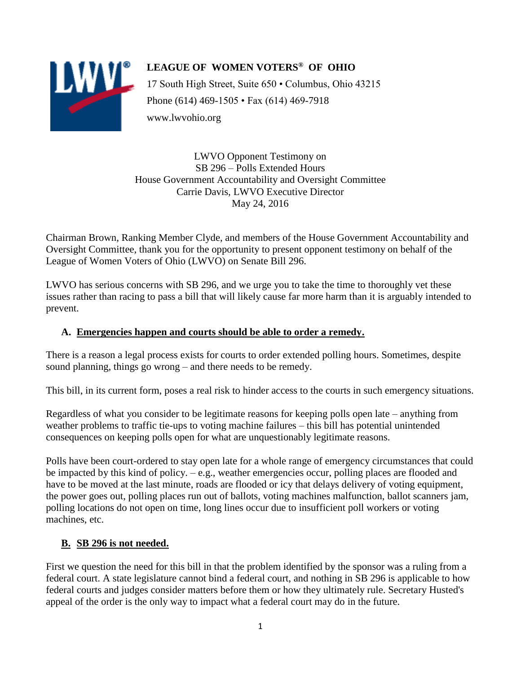

# **LEAGUE OF WOMEN VOTERS® OF OHIO** 17 South High Street, Suite 650 • Columbus, Ohio 43215 Phone (614) 469-1505 • Fax (614) 469-7918 www.lwvohio.org

LWVO Opponent Testimony on SB 296 – Polls Extended Hours House Government Accountability and Oversight Committee Carrie Davis, LWVO Executive Director May 24, 2016

Chairman Brown, Ranking Member Clyde, and members of the House Government Accountability and Oversight Committee, thank you for the opportunity to present opponent testimony on behalf of the League of Women Voters of Ohio (LWVO) on Senate Bill 296.

LWVO has serious concerns with SB 296, and we urge you to take the time to thoroughly vet these issues rather than racing to pass a bill that will likely cause far more harm than it is arguably intended to prevent.

## **A. Emergencies happen and courts should be able to order a remedy.**

There is a reason a legal process exists for courts to order extended polling hours. Sometimes, despite sound planning, things go wrong – and there needs to be remedy.

This bill, in its current form, poses a real risk to hinder access to the courts in such emergency situations.

Regardless of what you consider to be legitimate reasons for keeping polls open late – anything from weather problems to traffic tie-ups to voting machine failures – this bill has potential unintended consequences on keeping polls open for what are unquestionably legitimate reasons.

Polls have been court-ordered to stay open late for a whole range of emergency circumstances that could be impacted by this kind of policy. – e.g., weather emergencies occur, polling places are flooded and have to be moved at the last minute, roads are flooded or icy that delays delivery of voting equipment, the power goes out, polling places run out of ballots, voting machines malfunction, ballot scanners jam, polling locations do not open on time, long lines occur due to insufficient poll workers or voting machines, etc.

# **B. SB 296 is not needed.**

First we question the need for this bill in that the problem identified by the sponsor was a ruling from a federal court. A state legislature cannot bind a federal court, and nothing in SB 296 is applicable to how federal courts and judges consider matters before them or how they ultimately rule. Secretary Husted's appeal of the order is the only way to impact what a federal court may do in the future.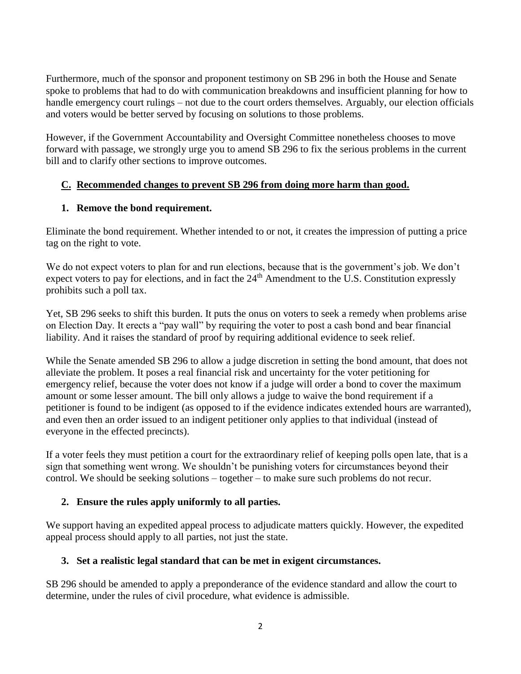Furthermore, much of the sponsor and proponent testimony on SB 296 in both the House and Senate spoke to problems that had to do with communication breakdowns and insufficient planning for how to handle emergency court rulings – not due to the court orders themselves. Arguably, our election officials and voters would be better served by focusing on solutions to those problems.

However, if the Government Accountability and Oversight Committee nonetheless chooses to move forward with passage, we strongly urge you to amend SB 296 to fix the serious problems in the current bill and to clarify other sections to improve outcomes.

### **C. Recommended changes to prevent SB 296 from doing more harm than good.**

#### **1. Remove the bond requirement.**

Eliminate the bond requirement. Whether intended to or not, it creates the impression of putting a price tag on the right to vote.

We do not expect voters to plan for and run elections, because that is the government's job. We don't expect voters to pay for elections, and in fact the  $24<sup>th</sup>$  Amendment to the U.S. Constitution expressly prohibits such a poll tax.

Yet, SB 296 seeks to shift this burden. It puts the onus on voters to seek a remedy when problems arise on Election Day. It erects a "pay wall" by requiring the voter to post a cash bond and bear financial liability. And it raises the standard of proof by requiring additional evidence to seek relief.

While the Senate amended SB 296 to allow a judge discretion in setting the bond amount, that does not alleviate the problem. It poses a real financial risk and uncertainty for the voter petitioning for emergency relief, because the voter does not know if a judge will order a bond to cover the maximum amount or some lesser amount. The bill only allows a judge to waive the bond requirement if a petitioner is found to be indigent (as opposed to if the evidence indicates extended hours are warranted), and even then an order issued to an indigent petitioner only applies to that individual (instead of everyone in the effected precincts).

If a voter feels they must petition a court for the extraordinary relief of keeping polls open late, that is a sign that something went wrong. We shouldn't be punishing voters for circumstances beyond their control. We should be seeking solutions – together – to make sure such problems do not recur.

### **2. Ensure the rules apply uniformly to all parties.**

We support having an expedited appeal process to adjudicate matters quickly. However, the expedited appeal process should apply to all parties, not just the state.

### **3. Set a realistic legal standard that can be met in exigent circumstances.**

SB 296 should be amended to apply a preponderance of the evidence standard and allow the court to determine, under the rules of civil procedure, what evidence is admissible.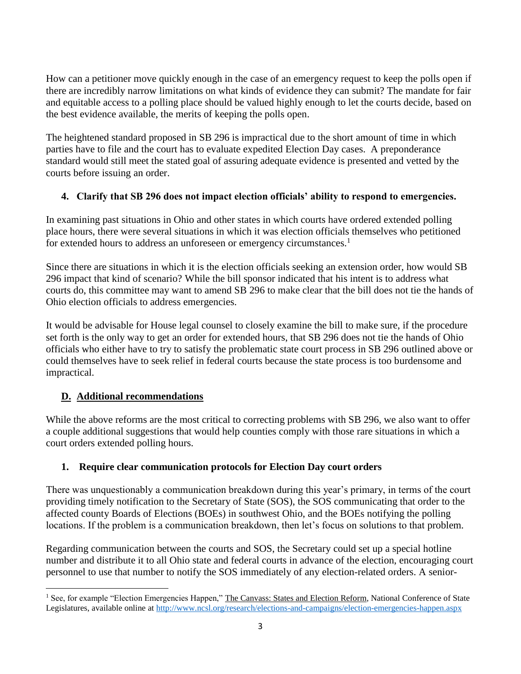How can a petitioner move quickly enough in the case of an emergency request to keep the polls open if there are incredibly narrow limitations on what kinds of evidence they can submit? The mandate for fair and equitable access to a polling place should be valued highly enough to let the courts decide, based on the best evidence available, the merits of keeping the polls open.

The heightened standard proposed in SB 296 is impractical due to the short amount of time in which parties have to file and the court has to evaluate expedited Election Day cases. A preponderance standard would still meet the stated goal of assuring adequate evidence is presented and vetted by the courts before issuing an order.

### **4. Clarify that SB 296 does not impact election officials' ability to respond to emergencies.**

In examining past situations in Ohio and other states in which courts have ordered extended polling place hours, there were several situations in which it was election officials themselves who petitioned for extended hours to address an unforeseen or emergency circumstances.<sup>1</sup>

Since there are situations in which it is the election officials seeking an extension order, how would SB 296 impact that kind of scenario? While the bill sponsor indicated that his intent is to address what courts do, this committee may want to amend SB 296 to make clear that the bill does not tie the hands of Ohio election officials to address emergencies.

It would be advisable for House legal counsel to closely examine the bill to make sure, if the procedure set forth is the only way to get an order for extended hours, that SB 296 does not tie the hands of Ohio officials who either have to try to satisfy the problematic state court process in SB 296 outlined above or could themselves have to seek relief in federal courts because the state process is too burdensome and impractical.

# **D. Additional recommendations**

While the above reforms are the most critical to correcting problems with SB 296, we also want to offer a couple additional suggestions that would help counties comply with those rare situations in which a court orders extended polling hours.

### **1. Require clear communication protocols for Election Day court orders**

There was unquestionably a communication breakdown during this year's primary, in terms of the court providing timely notification to the Secretary of State (SOS), the SOS communicating that order to the affected county Boards of Elections (BOEs) in southwest Ohio, and the BOEs notifying the polling locations. If the problem is a communication breakdown, then let's focus on solutions to that problem.

Regarding communication between the courts and SOS, the Secretary could set up a special hotline number and distribute it to all Ohio state and federal courts in advance of the election, encouraging court personnel to use that number to notify the SOS immediately of any election-related orders. A senior-

 $\overline{\phantom{a}}$ <sup>1</sup> See, for example "Election Emergencies Happen," The Canvass: States and Election Reform, National Conference of State Legislatures, available online a[t http://www.ncsl.org/research/elections-and-campaigns/election-emergencies-happen.aspx](http://www.ncsl.org/research/elections-and-campaigns/election-emergencies-happen.aspx)